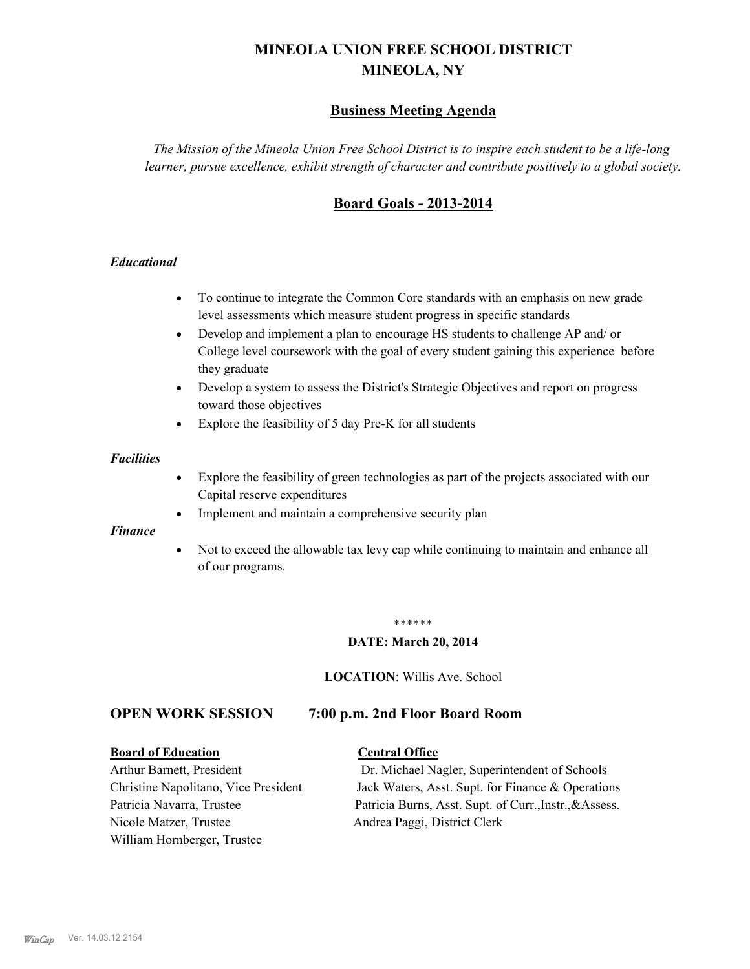# **MINEOLA UNION FREE SCHOOL DISTRICT MINEOLA, NY**

# **Business Meeting Agenda**

*The Mission of the Mineola Union Free School District is to inspire each student to be a life-long learner, pursue excellence, exhibit strength of character and contribute positively to a global society.*

# **Board Goals - 2013-2014**

## *Educational*

- · To continue to integrate the Common Core standards with an emphasis on new grade level assessments which measure student progress in specific standards
- · Develop and implement a plan to encourage HS students to challenge AP and/ or College level coursework with the goal of every student gaining this experience before they graduate
- Develop a system to assess the District's Strategic Objectives and report on progress toward those objectives
- · Explore the feasibility of 5 day Pre-K for all students

#### *Facilities*

- · Explore the feasibility of green technologies as part of the projects associated with our Capital reserve expenditures
- Implement and maintain a comprehensive security plan

#### *Finance*

• Not to exceed the allowable tax levy cap while continuing to maintain and enhance all of our programs.

#### \*\*\*\*\*\*

#### **DATE: March 20, 2014**

**LOCATION**: Willis Ave. School

# **OPEN WORK SESSION 7:00 p.m. 2nd Floor Board Room**

#### **Board of Education Central Office**

Nicole Matzer, Trustee Andrea Paggi, District Clerk William Hornberger, Trustee

Arthur Barnett, President Dr. Michael Nagler, Superintendent of Schools Christine Napolitano, Vice President Jack Waters, Asst. Supt. for Finance & Operations Patricia Navarra, Trustee Patricia Burns, Asst. Supt. of Curr., Instr., &Assess.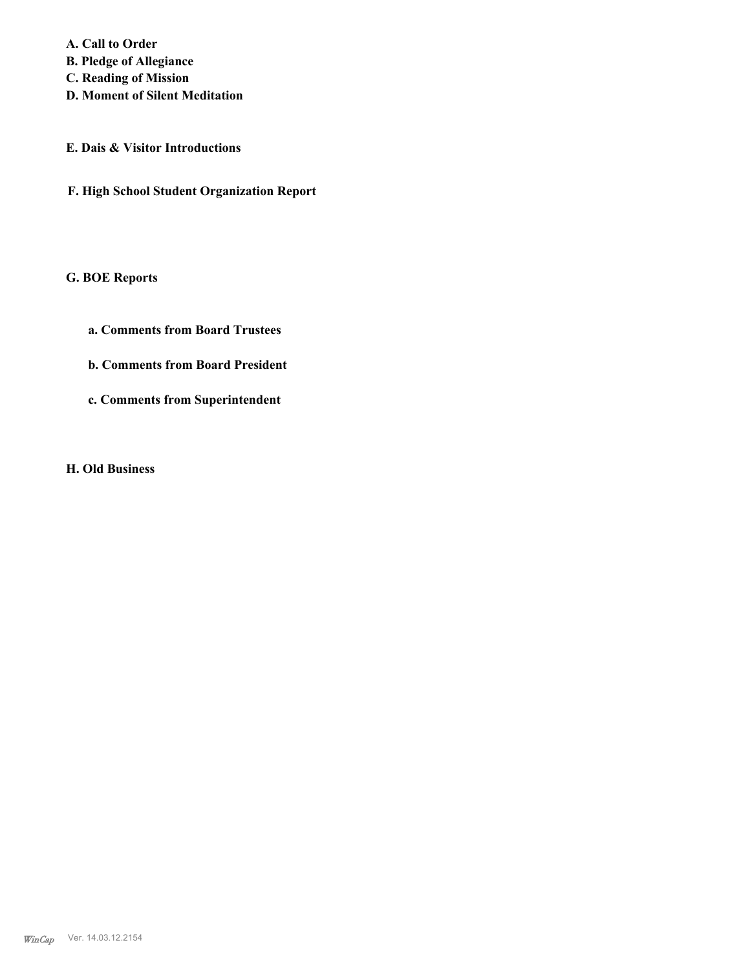**A. Call to Order B. Pledge of Allegiance C. Reading of Mission**

**D. Moment of Silent Meditation**

**E. Dais & Visitor Introductions**

**F. High School Student Organization Report**

# **G. BOE Reports**

- **a. Comments from Board Trustees**
- **b. Comments from Board President**
- **c. Comments from Superintendent**

**H. Old Business**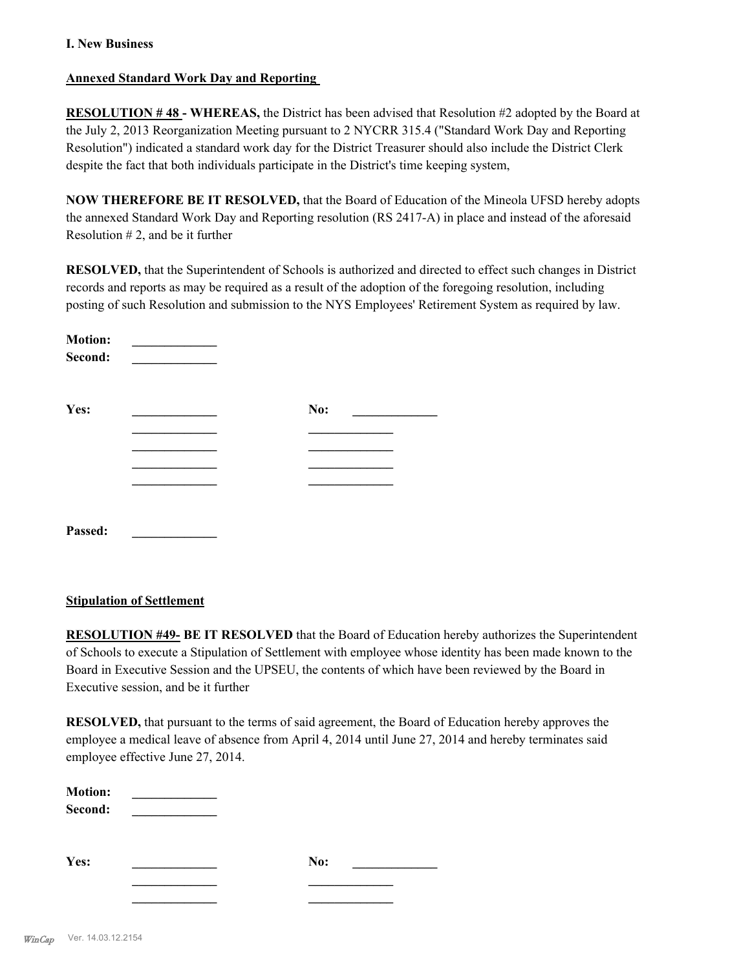## **I. New Business**

## **Annexed Standard Work Day and Reporting**

**RESOLUTION # 48 - WHEREAS,** the District has been advised that Resolution #2 adopted by the Board at the July 2, 2013 Reorganization Meeting pursuant to 2 NYCRR 315.4 ("Standard Work Day and Reporting Resolution") indicated a standard work day for the District Treasurer should also include the District Clerk despite the fact that both individuals participate in the District's time keeping system,

**NOW THEREFORE BE IT RESOLVED,** that the Board of Education of the Mineola UFSD hereby adopts the annexed Standard Work Day and Reporting resolution (RS 2417-A) in place and instead of the aforesaid Resolution  $# 2$ , and be it further

**RESOLVED,** that the Superintendent of Schools is authorized and directed to effect such changes in District records and reports as may be required as a result of the adoption of the foregoing resolution, including posting of such Resolution and submission to the NYS Employees' Retirement System as required by law.

| <b>Motion:</b><br>Second: |     |
|---------------------------|-----|
| Yes:                      | No: |
|                           |     |
|                           |     |
|                           |     |
|                           |     |
| Passed:                   |     |

## **Stipulation of Settlement**

**RESOLUTION #49- BE IT RESOLVED** that the Board of Education hereby authorizes the Superintendent of Schools to execute a Stipulation of Settlement with employee whose identity has been made known to the Board in Executive Session and the UPSEU, the contents of which have been reviewed by the Board in Executive session, and be it further

**RESOLVED,** that pursuant to the terms of said agreement, the Board of Education hereby approves the employee a medical leave of absence from April 4, 2014 until June 27, 2014 and hereby terminates said employee effective June 27, 2014.

| <b>Motion:</b> |  |
|----------------|--|
| Second:        |  |

**Yes: \_\_\_\_\_\_\_\_\_\_\_\_\_ No: \_\_\_\_\_\_\_\_\_\_\_\_\_**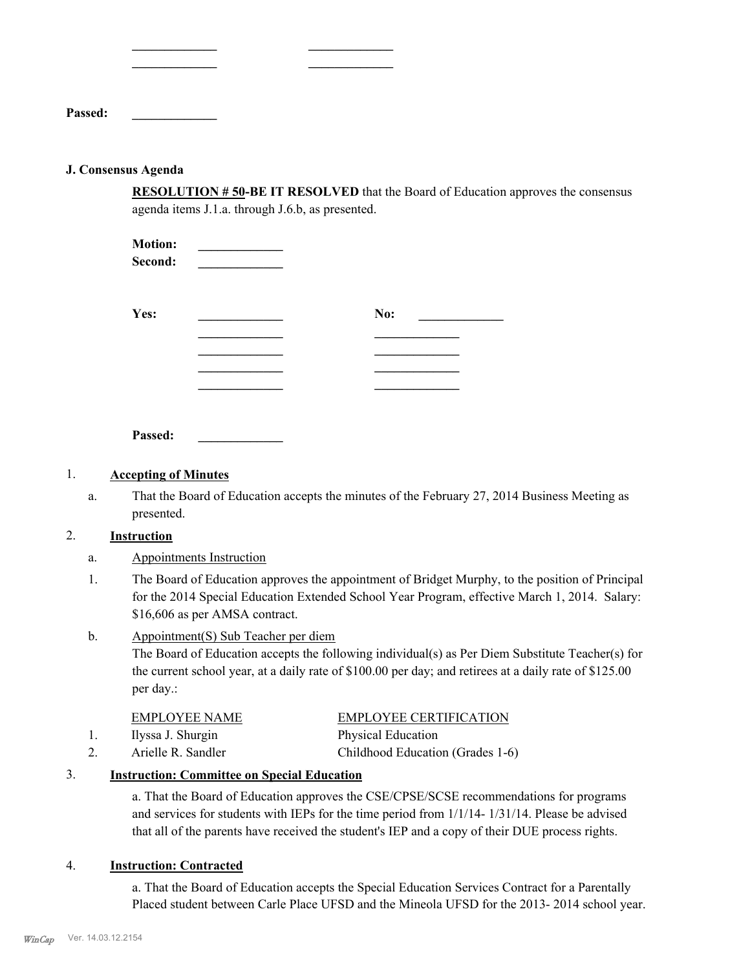| <b>Passed:</b> |  |  |
|----------------|--|--|

### **J. Consensus Agenda**

**RESOLUTION # 50-BE IT RESOLVED** that the Board of Education approves the consensus agenda items J.1.a. through J.6.b, as presented.

| <b>Motion:</b><br>Second: |     |
|---------------------------|-----|
| Yes:                      | No: |
|                           |     |
|                           |     |
|                           |     |

**\_\_\_\_\_\_\_\_\_\_\_\_\_ \_\_\_\_\_\_\_\_\_\_\_\_\_ \_\_\_\_\_\_\_\_\_\_\_\_\_ \_\_\_\_\_\_\_\_\_\_\_\_\_**

**Passed: \_\_\_\_\_\_\_\_\_\_\_\_\_**

## 1. **Accepting of Minutes**

That the Board of Education accepts the minutes of the February 27, 2014 Business Meeting as presented. a.

## 2. **Instruction**

- a. Appointments Instruction
- The Board of Education approves the appointment of Bridget Murphy, to the position of Principal for the 2014 Special Education Extended School Year Program, effective March 1, 2014. Salary: \$16,606 as per AMSA contract. 1.
- Appointment(S) Sub Teacher per diem b.

The Board of Education accepts the following individual(s) as Per Diem Substitute Teacher(s) for the current school year, at a daily rate of \$100.00 per day; and retirees at a daily rate of \$125.00 per day.:

| <b>EMPLOYEE NAME</b> | <b>EMPLOYEE CERTIFICATION</b>    |
|----------------------|----------------------------------|
| Ilyssa J. Shurgin    | <b>Physical Education</b>        |
| Arielle R. Sandler   | Childhood Education (Grades 1-6) |

## 3. **Instruction: Committee on Special Education**

a. That the Board of Education approves the CSE/CPSE/SCSE recommendations for programs and services for students with IEPs for the time period from 1/1/14- 1/31/14. Please be advised that all of the parents have received the student's IEP and a copy of their DUE process rights.

#### 4. **Instruction: Contracted**

a. That the Board of Education accepts the Special Education Services Contract for a Parentally Placed student between Carle Place UFSD and the Mineola UFSD for the 2013- 2014 school year.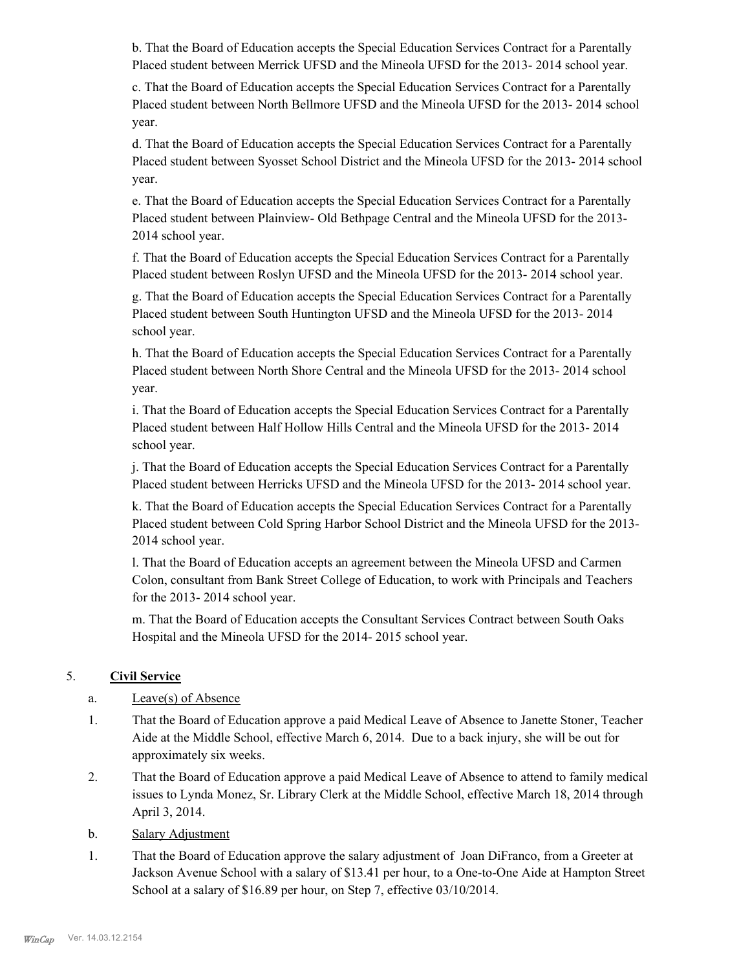b. That the Board of Education accepts the Special Education Services Contract for a Parentally Placed student between Merrick UFSD and the Mineola UFSD for the 2013- 2014 school year.

c. That the Board of Education accepts the Special Education Services Contract for a Parentally Placed student between North Bellmore UFSD and the Mineola UFSD for the 2013- 2014 school year.

d. That the Board of Education accepts the Special Education Services Contract for a Parentally Placed student between Syosset School District and the Mineola UFSD for the 2013- 2014 school year.

e. That the Board of Education accepts the Special Education Services Contract for a Parentally Placed student between Plainview- Old Bethpage Central and the Mineola UFSD for the 2013- 2014 school year.

f. That the Board of Education accepts the Special Education Services Contract for a Parentally Placed student between Roslyn UFSD and the Mineola UFSD for the 2013- 2014 school year.

g. That the Board of Education accepts the Special Education Services Contract for a Parentally Placed student between South Huntington UFSD and the Mineola UFSD for the 2013- 2014 school year.

h. That the Board of Education accepts the Special Education Services Contract for a Parentally Placed student between North Shore Central and the Mineola UFSD for the 2013- 2014 school year.

i. That the Board of Education accepts the Special Education Services Contract for a Parentally Placed student between Half Hollow Hills Central and the Mineola UFSD for the 2013- 2014 school year.

j. That the Board of Education accepts the Special Education Services Contract for a Parentally Placed student between Herricks UFSD and the Mineola UFSD for the 2013- 2014 school year.

k. That the Board of Education accepts the Special Education Services Contract for a Parentally Placed student between Cold Spring Harbor School District and the Mineola UFSD for the 2013- 2014 school year.

l. That the Board of Education accepts an agreement between the Mineola UFSD and Carmen Colon, consultant from Bank Street College of Education, to work with Principals and Teachers for the 2013- 2014 school year.

m. That the Board of Education accepts the Consultant Services Contract between South Oaks Hospital and the Mineola UFSD for the 2014- 2015 school year.

# 5. **Civil Service**

# a. Leave(s) of Absence

- That the Board of Education approve a paid Medical Leave of Absence to Janette Stoner, Teacher Aide at the Middle School, effective March 6, 2014. Due to a back injury, she will be out for approximately six weeks. 1.
- That the Board of Education approve a paid Medical Leave of Absence to attend to family medical issues to Lynda Monez, Sr. Library Clerk at the Middle School, effective March 18, 2014 through April 3, 2014. 2.
- b. Salary Adjustment
- That the Board of Education approve the salary adjustment of Joan DiFranco, from a Greeter at Jackson Avenue School with a salary of \$13.41 per hour, to a One-to-One Aide at Hampton Street School at a salary of \$16.89 per hour, on Step 7, effective 03/10/2014. 1.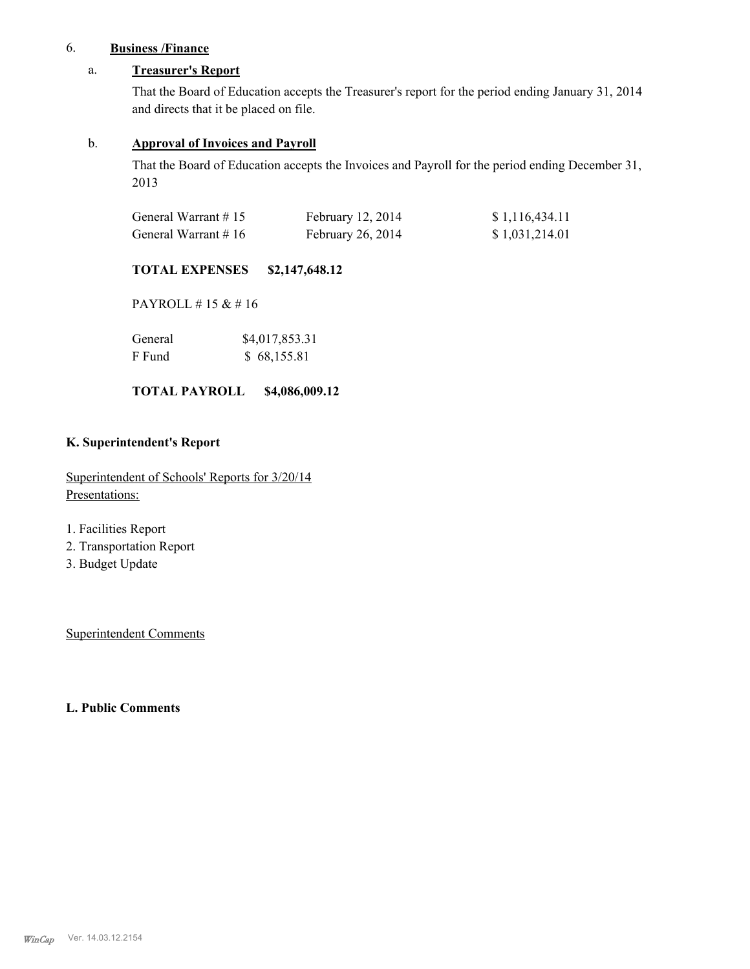# 6. **Business /Finance**

## a. **Treasurer's Report**

That the Board of Education accepts the Treasurer's report for the period ending January 31, 2014 and directs that it be placed on file.

## b. **Approval of Invoices and Payroll**

That the Board of Education accepts the Invoices and Payroll for the period ending December 31, 2013

| General Warrant #15    | February 12, 2014 | \$1,116,434.11 |
|------------------------|-------------------|----------------|
| General Warrant $# 16$ | February 26, 2014 | \$1,031,214.01 |

## **TOTAL EXPENSES \$2,147,648.12**

PAYROLL # 15 & # 16

| General | \$4,017,853.31 |
|---------|----------------|
| F Fund  | \$68,155.81    |

## **TOTAL PAYROLL \$4,086,009.12**

### **K. Superintendent's Report**

Superintendent of Schools' Reports for 3/20/14 Presentations:

- 1. Facilities Report
- 2. Transportation Report
- 3. Budget Update

Superintendent Comments

## **L. Public Comments**